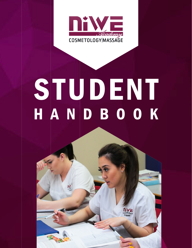

# S TUDENT HANDBOOK

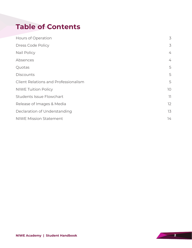## **Table of Contents**

| Hours of Operation                          | $\mathfrak{Z}$           |
|---------------------------------------------|--------------------------|
| <b>Dress Code Policy</b>                    | $\mathfrak{Z}$           |
| Nail Policy                                 | $\overline{4}$           |
| Absences                                    | $\overline{4}$           |
| Quotas                                      | 5                        |
| <b>Discounts</b>                            | 5                        |
| <b>Client Relations and Professionalism</b> | 5                        |
| <b>NIWE Tuition Policy</b>                  | 10                       |
| <b>Students Issue Flowchart</b>             | $\overline{\phantom{a}}$ |
| Release of Images & Media                   | 12                       |
| Declaration of Understanding                | 13                       |
| <b>NIWE Mission Statement</b>               | 14                       |
|                                             |                          |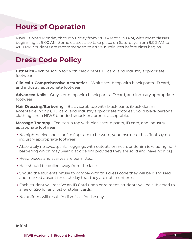#### **Hours of Operation**

NIWE is open Monday through Friday from 8:00 AM to 9:30 PM, with most classes beginning at 9:00 AM. Some classes also take place on Saturdays from 9:00 AM to 4:00 PM. Students are recommended to arrive 15 minutes before class begins.

#### **Dress Code Policy**

**Esthetics** – White scrub top with black pants, ID card, and industry appropriate footwear

**Clinical + Comprehensive Aesthetics** – White scrub top with black pants, ID card, and industry appropriate footwear

**Advanced Nails** – Grey scrub top with black pants, ID card, and industry appropriate footwear

**Hair Dressing/Barbering** – Black scrub top with black pants (black denim acceptable, no rips), ID card, and industry appropriate footwear. Solid black personal clothing and a NIWE branded smock or apron is acceptable.

**Massage Therapy** – Teal scrub top with black scrub pants, ID card, and industry appropriate footwear

- No high-heeled shoes or flip flops are to be worn; your instructor has final say on industry appropriate footwear.
- Absolutely no sweatpants, leggings with cutouts or mesh, or denim (excluding hair/ barbering which may wear black denim provided they are solid and have no rips.)
- Head pieces and scarves are permitted.
- Hair should be pulled away from the face.
- Should the students refuse to comply with this dress code they will be dismissed and marked absent for each day that they are not in uniform.
- Each student will receive an ID Card upon enrolment, students will be subjected to a fee of \$20 for any lost or stolen cards.
- No uniform will result in dismissal for the day.

| <b>Initial</b><br>. |  |
|---------------------|--|
|                     |  |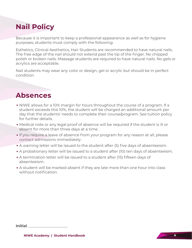# **Nail Policy**

Because it is important to keep a professional appearance as well as for hygiene purposes, students must comply with the following:

Esthetics, Clinical Aesthetics, Hair Students are recommended to have natural nails. The free edge of the nail should not extend past the tip of the finger. No chipped polish or broken nails. Massage students are required to have natural nails. No gels or acrylics are acceptable.

Nail students may wear any color or design, gel or acrylic but should be in perfect condition.

#### **Absences**

- NIWE allows for a 10% margin for hours throughout the course of a program. If a student exceeds this 10%, the student will be charged an additional amount per day that the students' needs to complete their course/program. See tuition policy for further details.
- Medical note or any legal proof of absence will be required if the student is ill or absent for more than three days at a time.
- If you require a leave of absence from your program for any reason at all, please contact admissions immediately.
- A warning letter will be issued to the student after (5) five days of absenteeism.
- A probationary letter will be issued to a student after (10) ten days of absenteeism.
- A termination letter will be issued to a student after (15) fifteen days of absenteeism.
- A student will be marked absent if they are late more than one hour into class without notification.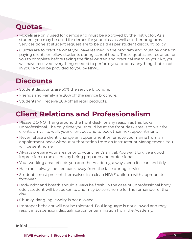# **Quotas**

- Models are only used for demos and must be approved by the instructor. As a student you may be used for demos for your class as well as other programs. Services done at student request are to be paid as per student discount policy.
- Quotas are to practice what you have learned in the program and must be done on paying clients or fellow students during school hours. These quotas are required for you to complete before taking the final written and practical exam. In your kit, you will have received everything needed to perform your quotas, anything that is not in your kit will be provided to you by NIWE.

#### **Discounts**

- Student discounts are 50% the service brochure.
- Friends and Family are 20% off the service brochure.
- Students will receive 20% off all retail products.

## **Client Relations and Professionalism**

- Please DO NOT hang around the front desk for any reason as this looks unprofessional. The only time you should be at the front desk area is to wait for client's arrival, to walk your client out and to book their next appointment.
- Never refuse a client, change an appointment or remove your name from an appointment book without authorization from an Instructor or Management. You will be sent home.
- Always prepare your area prior to your client's arrival. You want to give a good impression to the clients by being prepared and professional.
- Your working area reflects you and the Academy, always keep it clean and tidy.
- Hair must always be tied back away from the face during services.
- Students must present themselves in a clean NIWE uniform with appropriate footwear.
- Body odor and breath should always be fresh. In the case of unprofessional body odor, student will be spoken to and may be sent home for the remainder of the day.
- Chunky, dangling jewelry is not allowed.
- Improper behavior will not be tolerated. Foul language is not allowed and may result in suspension, disqualification or termination from the Academy.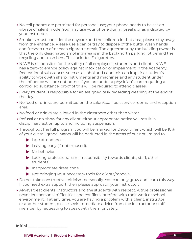- No cell phones are permitted for personal use; your phone needs to be set on vibrate or silent mode. You may use your phone during breaks or as indicated by your instructor.
- Smokers must consider the daycare and the children in that area, please stay away from the entrance. Please use a can or tray to dispose of the butts. Wash hands and freshen up after each cigarette break. The agreement by the building owner is that the only designated smoking area is in the back-north parking lot behind the recycling and trash bins. This includes E-cigarettes.
- NIWE is responsible for the safety of all employees, students and clients. NIWE has a zero-tolerance policy against intoxication or impairment in the Academy. Recreational substances such as alcohol and cannabis can impair a student's ability to work with sharp instruments and machines and any student under the influence will be sent home. If you are under a physician's care requiring a controlled substance, proof of this will be required to attend classes.
- Every student is responsible for an assigned task regarding cleaning at the end of the day.
- No food or drinks are permitted on the salon/spa floor, service rooms, and reception area.
- No food or drinks are allowed in the classroom other than water.
- Refusal or no-show for any client without appropriate notice will result in disciplinary action up to and including suspension.
- Throughout the full program you will be marked for Deportment which will be 10% of your overall grade. Marks will be deducted in the areas of but not limited to:
	- ▶ Late attendance.
	- ▶ Leaving early (if not excused).
	- ▶ Misbehavior.
	- ▶ Lacking professionalism (irresponsibility towards clients, staff, other students).
	- ▶ Inappropriate dress code.
	- ▶ Not bringing your necessary tools for clients/models.
- Do not take constructive criticism personally. You can only grow and learn this way. If you need extra support, then please approach your instructor.
- Always treat clients, instructors and the students with respect. A true professional never lets personal difficulties and conflicts interfere with their work or school environment. If at any time, you are having a problem with a client, instructor or another student, please seek immediate advice from the instructor or staff member by requesting to speak with them privately.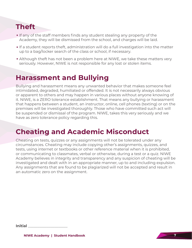# **Theft**

- If any of the staff members finds any student stealing any property of the Academy, they will be dismissed from the school, and charges will be laid.
- If a student reports theft, administration will do a full investigation into the matter up to a bag/locker search of the class or school, if necessary.
- Although theft has not been a problem here at NIWE, we take these matters very seriously. However, NIWE is not responsible for any lost or stolen items.

#### **Harassment and Bullying**

Bullying and harassment means any unwanted behavior that makes someone feel intimidated, degraded, humiliated or offended. It is not necessarily always obvious or apparent to others and may happen in various places without anyone knowing of it. NIWE, is a ZERO tolerance establishment. That means any bullying or harassment that happens between a student, an instructor, online, cell phones (texting) or on the premises will be investigated thoroughly. Those who have committed such act will be suspended or dismissal of the program. NIWE, takes this very seriously and we have as zero tolerance policy regarding this.

#### **Cheating and Academic Misconduct**

Cheating on tests, quizzes or any assignments will not be tolerated under any circumstances. Cheating may include copying other's assignments, quizzes, and tests, using internet or textbooks or other reference material when it is prohibited, or communicating to classmates, verbal or otherwise, during a test or a quiz. NIWE Academy believes in integrity and transparency and any suspicion of cheating will be investigated and dealt with in an appropriate manner, up to and including expulsion. Any assignments that are found to be plagiarized will not be accepted and result in an automatic zero on the assignment.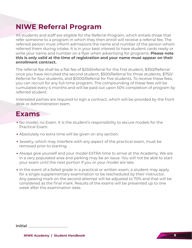## **NIWE Referral Program**

All students and staff are eligible for the Referral Program, which entails those that refer someone to a program in which they then enroll will receive a referral fee. The referred person must inform admissions the name and number of the person whom referred them during intake. It is in your best interest to have student cards ready or write your name and number on a flyer when advertising for programs. **Please note this is only valid at the time of registration and your name must appear on their enrollment contract.**

The referral fee shall be a flat fee of \$250/referral for the first student, \$350/Referral once you have recruited the second student, \$500/Referral for three students, \$750/ Referral for four students, and \$1000/Referral for five students. To receive these fees, you can recruit for any full-time program. The compounding of these fees will be cumulated every 4 months and will be paid out upon 50% completion of program by referred student.

Interested parties are required to sign a contract, which will be provided by the front desk or Administration team.

#### **Exams**

- No model, no Exam. It is the student's responsibility to secure models for the Practical Exam.
- Absolutely no extra time will be given on any section.
- Jewelry, which may interfere with any aspect of the practical exam, must be removed prior to starting.
- Always give yourself and your model EXTRA time to arrive at the Academy. We are in a very populated area and parking may be an issue. You will not be able to start your exam until the next portion if you or your model are late.
- In the event of a failed grade in a practical or written exam, a student may apply for a single supplementary examination to be rescheduled by their instructor. Any passing mark on the second attempt will be adjusted to 70% and that will be considered as the final mark. Results of the exams will be presented up to one week after the examination date.

| <b>Initial</b> |  |
|----------------|--|
|                |  |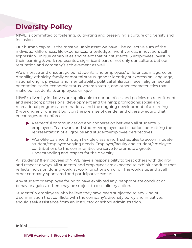# **Diversity Policy**

NIWE is committed to fostering, cultivating and preserving a culture of diversity and inclusion.

Our human capital is the most valuable asset we have. The collective sum of the individual differences, life experiences, knowledge, inventiveness, innovation, selfexpression, unique capabilities and talent that our students' & employees invest in their learning & work represents a significant part of not only our culture, but our reputation and company's achievement as well.

We embrace and encourage our students' and employees' differences in age, color, disability, ethnicity, family or marital status, gender identity or expression, language, national origin, physical and mental ability, political affiliation, race, religion, sexual orientation, socio-economic status, veteran status, and other characteristics that make our students' & employees unique.

NIWE's diversity initiatives are applicable to our practices and policies on recruitment and selection; professional development and training; promotions; social and recreational programs; terminations; and the ongoing development of a learning & working environment built on the premise of gender and diversity equity that encourages and enforces:

- ▶ Respectful communication and cooperation between all students' & employees. Teamwork and student/employee participation, permitting the representation of all groups and student/employee perspectives.
- ▶ Work/life balance through flexible class & work schedules to accommodate student/employee varying needs. Employer/faculty and student/employee contributions to the communities we serve to promote a greater understanding and respect for the diversity.

All students' & employees of NIWE have a responsibility to treat others with dignity and respect always. All students' and employees are expected to exhibit conduct that reflects inclusion during work, at work functions on or off the work site, and at all other company-sponsored and participative events.

Any student or employee found to have exhibited any inappropriate conduct or behavior against others may be subject to disciplinary action.

Students' & employees who believe they have been subjected to any kind of discrimination that conflicts with the company's diversity policy and initiatives should seek assistance from an instructor or school administration.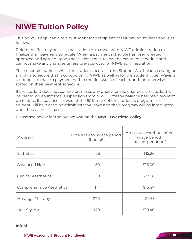# **NIWE Tuition Policy**

This policy is applicable to any student loan recipient or self-paying student and is as follows:

Before the first day of class, the student is to meet with NIWE administration to finalize their payment schedule. When a payment schedule has been created, approved and agreed upon, the student must follow the payment schedule and cannot make any changes unless pre-approved by NIWE administration.

This schedule outlines what the student receives from Student Aid, balance owing or simply a schedule that is conducive for NIWE as well as for the student. A Self-Paying student is to make a payment within the first week of each month or otherwise stated on their payment schedule.

If the student does not comply or makes any unauthorized changes, the student will be placed on an informal suspension from NIWE until the balance has been brought up to date. If a balance is owed at the 60% mark of the student's program, the student will be placed on administrative leave and their program will be interrupted until the balance is paid.

| Program                    | Time span for grace period<br>$(hours)^1$ | Amount owed/hour after<br>grace period<br>(dollars per hour) <sup>2</sup> |
|----------------------------|-------------------------------------------|---------------------------------------------------------------------------|
| <b>Esthetics</b>           | 56                                        | \$15.20                                                                   |
| <b>Advanced Nails</b>      | 50                                        | \$16.00                                                                   |
| <b>Clinical Aesthetics</b> | 58                                        | \$23.28                                                                   |
| Comprehensive Aesthetics   | 114                                       | \$15.44                                                                   |
| Massage Therapy            | 220                                       | \$9.55                                                                    |
| Hair Styling               | 140                                       | \$10.40                                                                   |

Please see below for the breakdown on the **NIWE Overtime Policy**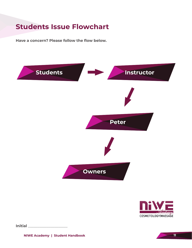#### **Students Issue Flowchart**

**Have a concern? Please follow the flow below.**



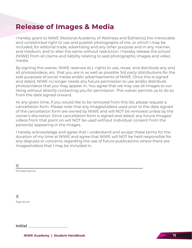#### **Release of Images & Media**

I hereby grant to NIWE (National Academy of Wellness and Esthetics) the irrevocable and unrestricted right to use and publish photographs of me, or which I may be included, for editorial trade, advertising and any other purpose and in any manner, and medium; and to alter the same without restriction. I hereby release the school (NIWE) from all claims and liability relating to said photographs, images and video media.

By signing this waiver, NIWE reserves ALL rights to use, reuse, and distribute any and all photos/videos, etc. that you are in as well as possible 3rd party distributions for the sole purposes of social media and/or advertisements of NIWE. Once this is signed and dated, NIWE no longer needs any future permission to use and/or distribute photos/videos that you may appear in. You agree that we may use all Images to our liking without directly contacting you for permission. This waiver permits us to do so from the date signed onward.

At any given time, if you would like to be removed from this list, please request a cancellation form. Please note that any Images/videos used prior to the date signed of the cancellation form are owned by NIWE and will NOT be removed unless by the owner's discretion. Once cancellation form is signed and dated, any future Images/ videos from that point on will NOT be used without Individual consent from the person(s) appearing in the images.

I hereby acknowledge and agree that I understand and accept these terms for the duration of my time at NIWE and agree that NIWE will NOT be held responsible for any disputes or concerns regarding the use of future publications where there are Images/videos that I may be Included in.

 $\times$ 

Printed Name

Signature X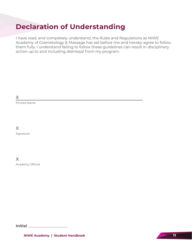## **Declaration of Understanding**

I have read, and completely understand, the Rules and Regulations as NIWE Academy of Cosmetology & Massage has set before me and hereby agree to follow them fully. I understand failing to follow these guidelines can result in disciplinary action up to and including dismissal from my program.

 $\times$ 

Printed Name

X

Signature

X

Academy Official